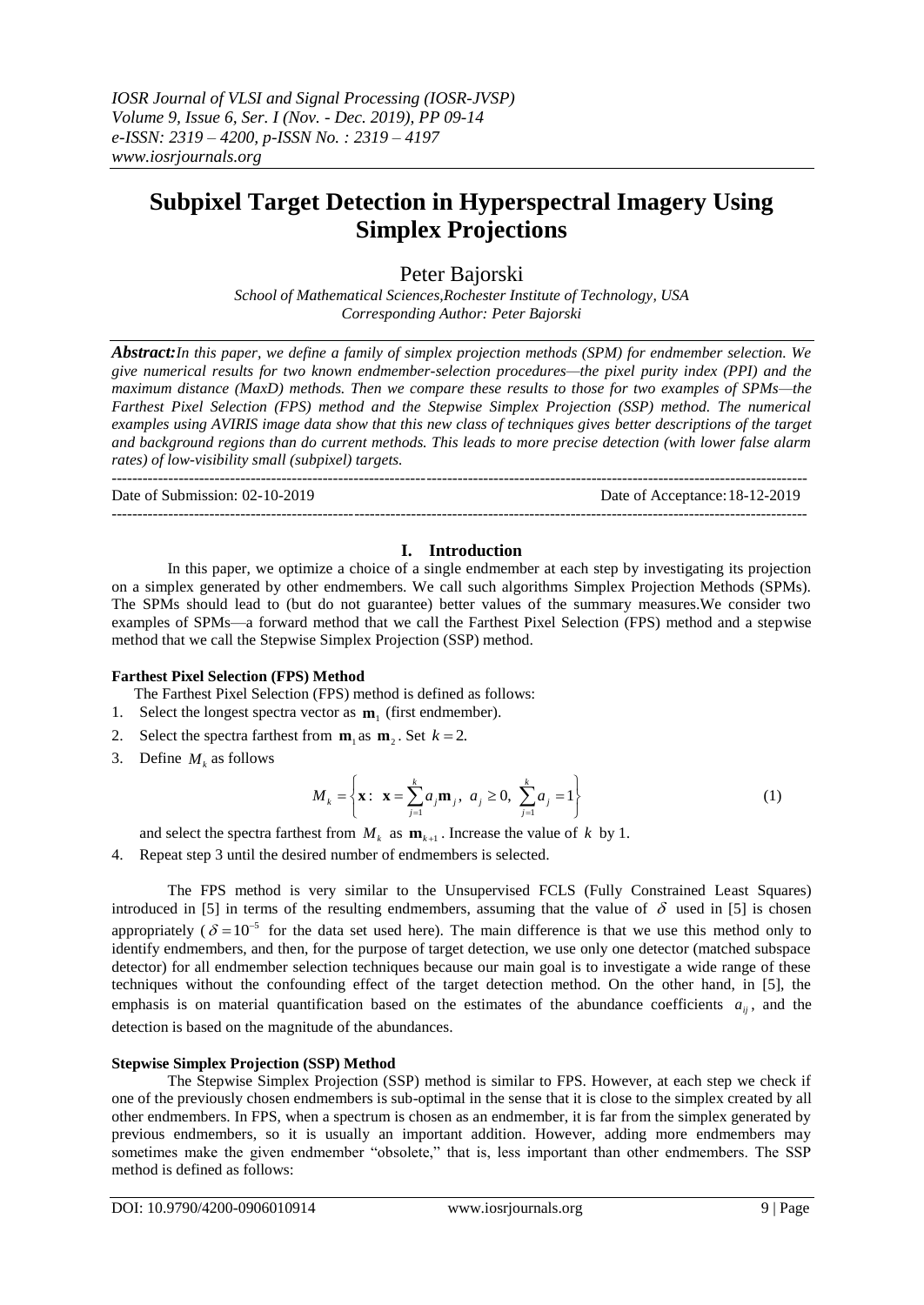# **Subpixel Target Detection in Hyperspectral Imagery Using Simplex Projections**

## Peter Bajorski

*School of Mathematical Sciences,Rochester Institute of Technology, USA Corresponding Author: Peter Bajorski*

*Abstract:In this paper, we define a family of simplex projection methods (SPM) for endmember selection. We give numerical results for two known endmember-selection procedures—the pixel purity index (PPI) and the maximum distance (MaxD) methods. Then we compare these results to those for two examples of SPMs—the Farthest Pixel Selection (FPS) method and the Stepwise Simplex Projection (SSP) method. The numerical examples using AVIRIS image data show that this new class of techniques gives better descriptions of the target and background regions than do current methods. This leads to more precise detection (with lower false alarm rates) of low-visibility small (subpixel) targets.*

Date of Submission: 02-10-2019 Date of Acceptance:18-12-2019

## **I. Introduction**

In this paper, we optimize a choice of a single endmember at each step by investigating its projection on a simplex generated by other endmembers. We call such algorithms Simplex Projection Methods (SPMs). The SPMs should lead to (but do not guarantee) better values of the summary measures.We consider two examples of SPMs—a forward method that we call the Farthest Pixel Selection (FPS) method and a stepwise method that we call the Stepwise Simplex Projection (SSP) method.

## **Farthest Pixel Selection (FPS) Method**

The Farthest Pixel Selection (FPS) method is defined as follows:

---------------------------------------------------------------------------------------------------------------------------------------

---------------------------------------------------------------------------------------------------------------------------------------

- 1. Select the longest spectra vector as  $\mathbf{m}_1$  (first endmember).
- 2. Select the spectra farthest from  $\mathbf{m}_1$  as  $\mathbf{m}_2$ . Set  $k = 2$ .
- 3. Define  $M_k$  as follows

$$
M_{k} = \left\{ \mathbf{x}: \ \mathbf{x} = \sum_{j=1}^{k} a_{j} \mathbf{m}_{j}, \ a_{j} \ge 0, \ \sum_{j=1}^{k} a_{j} = 1 \right\}
$$
 (1)

and select the spectra farthest from  $M_k$  as  $\mathbf{m}_{k+1}$ . Increase the value of k by 1.

4. Repeat step 3 until the desired number of endmembers is selected.

The FPS method is very similar to the Unsupervised FCLS (Fully Constrained Least Squares) introduced in [5] in terms of the resulting endmembers, assuming that the value of  $\delta$  used in [5] is chosen appropriately ( $\delta = 10^{-5}$  for the data set used here). The main difference is that we use this method only to identify endmembers, and then, for the purpose of target detection, we use only one detector (matched subspace detector) for all endmember selection techniques because our main goal is to investigate a wide range of these techniques without the confounding effect of the target detection method. On the other hand, in [5], the emphasis is on material quantification based on the estimates of the abundance coefficients  $a_{ij}$ , and the detection is based on the magnitude of the abundances.

## **Stepwise Simplex Projection (SSP) Method**

The Stepwise Simplex Projection (SSP) method is similar to FPS. However, at each step we check if one of the previously chosen endmembers is sub-optimal in the sense that it is close to the simplex created by all other endmembers. In FPS, when a spectrum is chosen as an endmember, it is far from the simplex generated by previous endmembers, so it is usually an important addition. However, adding more endmembers may sometimes make the given endmember "obsolete," that is, less important than other endmembers. The SSP method is defined as follows: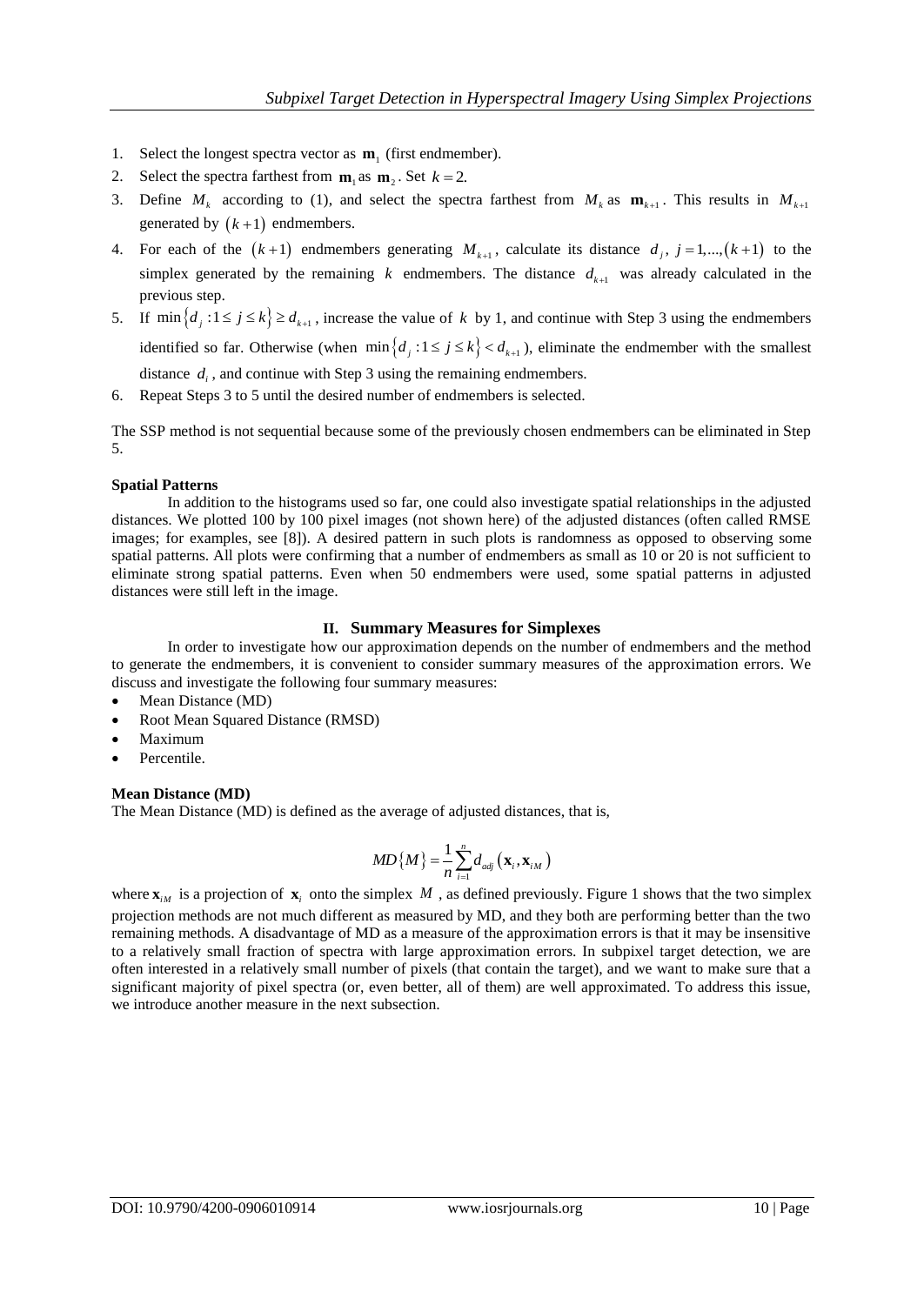- 1. Select the longest spectra vector as  $\mathbf{m}_1$  (first endmember).
- 2. Select the spectra farthest from  $\mathbf{m}_1$  as  $\mathbf{m}_2$ . Set  $k = 2$ .
- 3. Define  $M_k$  according to (1), and select the spectra farthest from  $M_k$  as  $\mathbf{m}_{k+1}$ . This results in  $M_{k+1}$ generated by  $(k+1)$  endmembers.
- 4. For each of the  $(k+1)$  endmembers generating  $M_{k+1}$ , calculate its distance  $d_j$ ,  $j = 1, ..., (k+1)$  to the simplex generated by the remaining  $k$  endmembers. The distance  $d_{k+1}$  was already calculated in the previous step.
- 5. If  $\min\{d_j : 1 \le j \le k\} \ge d_{k+1}$ , increase the value of k by 1, and continue with Step 3 using the endmembers identified so far. Otherwise (when  $\min\{d_j : 1 \le j \le k\} < d_{k+1}$ ), eliminate the endmember with the smallest distance  $d_i$ , and continue with Step 3 using the remaining endmembers.
- 6. Repeat Steps 3 to 5 until the desired number of endmembers is selected.

The SSP method is not sequential because some of the previously chosen endmembers can be eliminated in Step 5.

## **Spatial Patterns**

In addition to the histograms used so far, one could also investigate spatial relationships in the adjusted distances. We plotted 100 by 100 pixel images (not shown here) of the adjusted distances (often called RMSE images; for examples, see [8]). A desired pattern in such plots is randomness as opposed to observing some spatial patterns. All plots were confirming that a number of endmembers as small as 10 or 20 is not sufficient to eliminate strong spatial patterns. Even when 50 endmembers were used, some spatial patterns in adjusted distances were still left in the image.

## **II. Summary Measures for Simplexes**

In order to investigate how our approximation depends on the number of endmembers and the method to generate the endmembers, it is convenient to consider summary measures of the approximation errors. We discuss and investigate the following four summary measures:

- Mean Distance (MD)
- Root Mean Squared Distance (RMSD)
- Maximum
- Percentile.

## **Mean Distance (MD)**

The Mean Distance (MD) is defined as the average of adjusted distances, that is,

$$
MD\{M\} = \frac{1}{n}\sum_{i=1}^{n} d_{adj}\left(\mathbf{x}_{i}, \mathbf{x}_{iM}\right)
$$

where  $\mathbf{x}_{iM}$  is a projection of  $\mathbf{x}_i$  onto the simplex M, as defined previously. Figure 1 shows that the two simplex projection methods are not much different as measured by MD, and they both are performing better than the two remaining methods. A disadvantage of MD as a measure of the approximation errors is that it may be insensitive to a relatively small fraction of spectra with large approximation errors. In subpixel target detection, we are often interested in a relatively small number of pixels (that contain the target), and we want to make sure that a significant majority of pixel spectra (or, even better, all of them) are well approximated. To address this issue, we introduce another measure in the next subsection.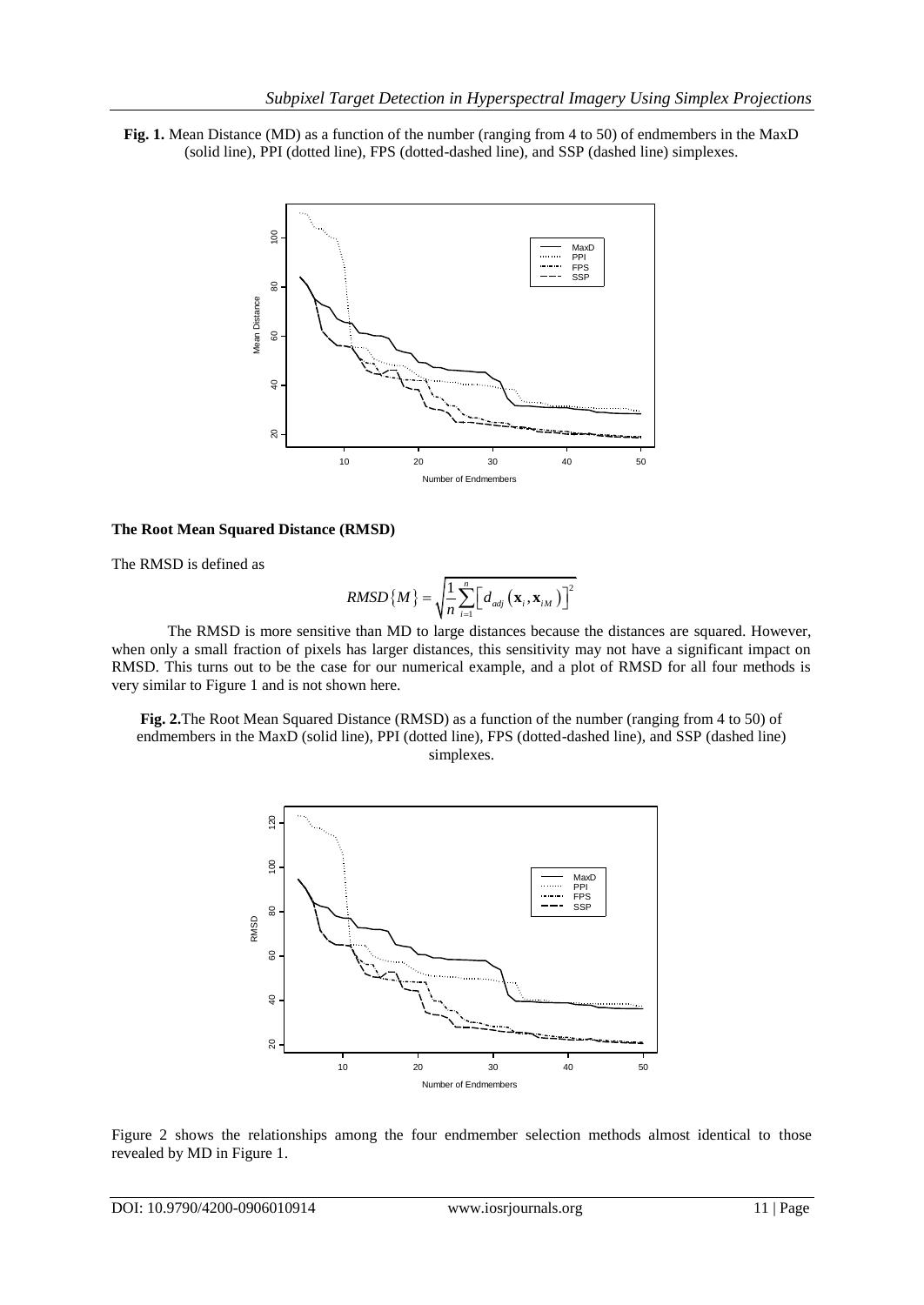**Fig. 1.** Mean Distance (MD) as a function of the number (ranging from 4 to 50) of endmembers in the MaxD (solid line), PPI (dotted line), FPS (dotted-dashed line), and SSP (dashed line) simplexes.



#### **The Root Mean Squared Distance (RMSD)**

The RMSD is defined as

$$
RMSD\left\{M\right\} = \sqrt{\frac{1}{n} \sum_{i=1}^{n} \Bigl[ d_{adj} \left( \mathbf{x}_{i}, \mathbf{x}_{iM} \right) \Bigr]^2}
$$

The RMSD is more sensitive than MD to large distances because the distances are squared. However, when only a small fraction of pixels has larger distances, this sensitivity may not have a significant impact on RMSD. This turns out to be the case for our numerical example, and a plot of RMSD for all four methods is very similar to Figure 1 and is not shown here.

**Fig. 2.**The Root Mean Squared Distance (RMSD) as a function of the number (ranging from 4 to 50) of endmembers in the MaxD (solid line), PPI (dotted line), FPS (dotted-dashed line), and SSP (dashed line) simplexes.



Figure 2 shows the relationships among the four endmember selection methods almost identical to those revealed by MD in Figure 1.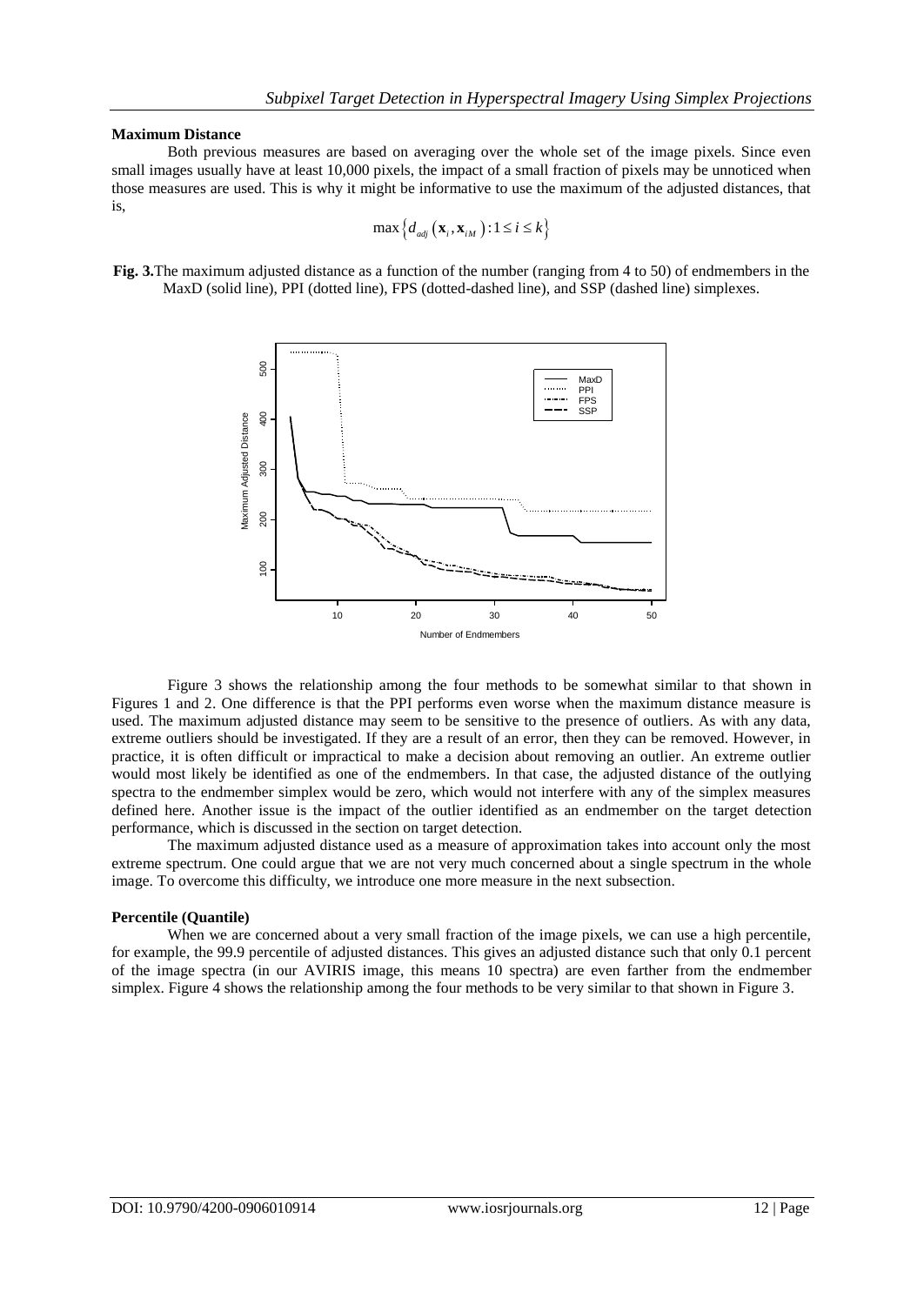## **Maximum Distance**

Both previous measures are based on averaging over the whole set of the image pixels. Since even small images usually have at least 10,000 pixels, the impact of a small fraction of pixels may be unnoticed when those measures are used. This is why it might be informative to use the maximum of the adjusted distances, that is,

$$
\max\left\{d_{\text{adj}}\left(\mathbf{x}_{i}, \mathbf{x}_{iM}\right): 1 \leq i \leq k\right\}
$$

**Fig. 3.**The maximum adjusted distance as a function of the number (ranging from 4 to 50) of endmembers in the MaxD (solid line), PPI (dotted line), FPS (dotted-dashed line), and SSP (dashed line) simplexes.



Figure 3 shows the relationship among the four methods to be somewhat similar to that shown in Figures 1 and 2. One difference is that the PPI performs even worse when the maximum distance measure is used. The maximum adjusted distance may seem to be sensitive to the presence of outliers. As with any data, extreme outliers should be investigated. If they are a result of an error, then they can be removed. However, in practice, it is often difficult or impractical to make a decision about removing an outlier. An extreme outlier would most likely be identified as one of the endmembers. In that case, the adjusted distance of the outlying spectra to the endmember simplex would be zero, which would not interfere with any of the simplex measures defined here. Another issue is the impact of the outlier identified as an endmember on the target detection performance, which is discussed in the section on target detection.

The maximum adjusted distance used as a measure of approximation takes into account only the most extreme spectrum. One could argue that we are not very much concerned about a single spectrum in the whole image. To overcome this difficulty, we introduce one more measure in the next subsection.

## **Percentile (Quantile)**

When we are concerned about a very small fraction of the image pixels, we can use a high percentile, for example, the 99.9 percentile of adjusted distances. This gives an adjusted distance such that only 0.1 percent of the image spectra (in our AVIRIS image, this means 10 spectra) are even farther from the endmember simplex. Figure 4 shows the relationship among the four methods to be very similar to that shown in Figure 3.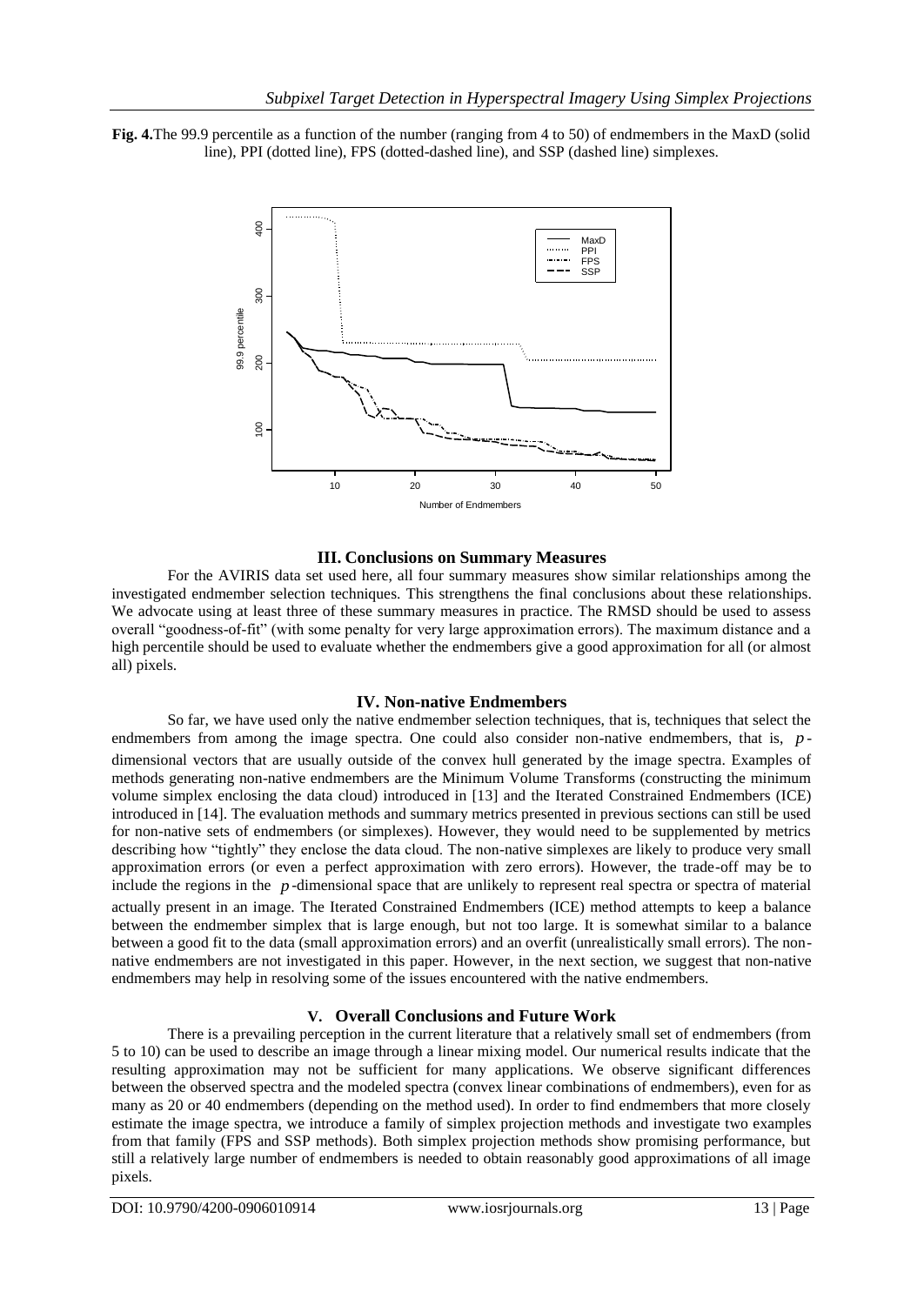



## **III. Conclusions on Summary Measures**

For the AVIRIS data set used here, all four summary measures show similar relationships among the investigated endmember selection techniques. This strengthens the final conclusions about these relationships. We advocate using at least three of these summary measures in practice. The RMSD should be used to assess overall "goodness-of-fit" (with some penalty for very large approximation errors). The maximum distance and a high percentile should be used to evaluate whether the endmembers give a good approximation for all (or almost all) pixels.

## **IV. Non-native Endmembers**

So far, we have used only the native endmember selection techniques, that is, techniques that select the endmembers from among the image spectra. One could also consider non-native endmembers, that is, pdimensional vectors that are usually outside of the convex hull generated by the image spectra. Examples of methods generating non-native endmembers are the Minimum Volume Transforms (constructing the minimum volume simplex enclosing the data cloud) introduced in [13] and the Iterated Constrained Endmembers (ICE) introduced in [14]. The evaluation methods and summary metrics presented in previous sections can still be used for non-native sets of endmembers (or simplexes). However, they would need to be supplemented by metrics describing how "tightly" they enclose the data cloud. The non-native simplexes are likely to produce very small approximation errors (or even a perfect approximation with zero errors). However, the trade-off may be to include the regions in the *p* -dimensional space that are unlikely to represent real spectra or spectra of material actually present in an image. The Iterated Constrained Endmembers (ICE) method attempts to keep a balance between the endmember simplex that is large enough, but not too large. It is somewhat similar to a balance between a good fit to the data (small approximation errors) and an overfit (unrealistically small errors). The nonnative endmembers are not investigated in this paper. However, in the next section, we suggest that non-native endmembers may help in resolving some of the issues encountered with the native endmembers.

## **V. Overall Conclusions and Future Work**

There is a prevailing perception in the current literature that a relatively small set of endmembers (from 5 to 10) can be used to describe an image through a linear mixing model. Our numerical results indicate that the resulting approximation may not be sufficient for many applications. We observe significant differences between the observed spectra and the modeled spectra (convex linear combinations of endmembers), even for as many as 20 or 40 endmembers (depending on the method used). In order to find endmembers that more closely estimate the image spectra, we introduce a family of simplex projection methods and investigate two examples from that family (FPS and SSP methods). Both simplex projection methods show promising performance, but still a relatively large number of endmembers is needed to obtain reasonably good approximations of all image pixels.